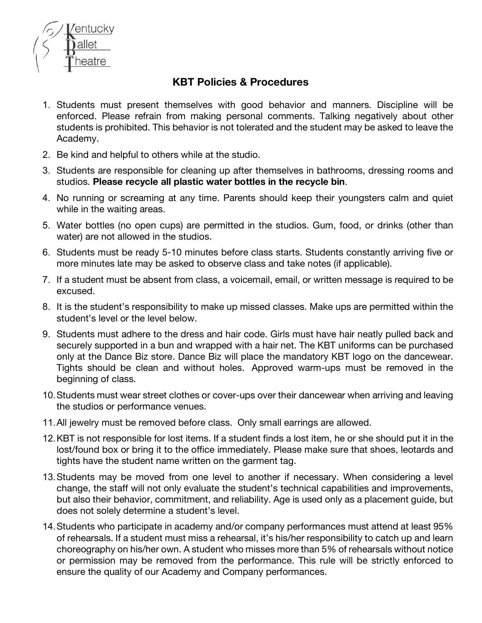

## **KBT Policies & Procedures**

- 1. Students must present themselves with good behavior and manners. Discipline will be enforced. Please refrain from making personal comments. Talking negatively about other students is prohibited. This behavior is not tolerated and the student may be asked to leave the Academy.
- 2. Be kind and helpful to others while at the studio.
- 3. Students are responsible for cleaning up after themselves in bathrooms, dressing rooms and studios. **Please recycle all plastic water bottles in the recycle bin**.
- 4. No running or screaming at any time. Parents should keep their youngsters calm and quiet while in the waiting areas.
- 5. Water bottles (no open cups) are permitted in the studios. Gum, food, or drinks (other than water) are not allowed in the studios.
- 6. Students must be ready 5-10 minutes before class starts. Students constantly arriving five or more minutes late may be asked to observe class and take notes (if applicable).
- 7. If a student must be absent from class, a voicemail, email, or written message is required to be excused.
- 8. It is the student's responsibility to make up missed classes. Make ups are permitted within the student's level or the level below.
- 9. Students must adhere to the dress and hair code. Girls must have hair neatly pulled back and securely supported in a bun and wrapped with a hair net. The KBT uniforms can be purchased only at the Dance Biz store. Dance Biz will place the mandatory KBT logo on the dancewear. Tights should be clean and without holes. Approved warm-ups must be removed in the beginning of class.
- 10.Students must wear street clothes or cover-ups over their dancewear when arriving and leaving the studios or performance venues.
- 11.All jewelry must be removed before class. Only small earrings are allowed.
- 12.KBT is not responsible for lost items. If a student finds a lost item, he or she should put it in the lost/found box or bring it to the office immediately. Please make sure that shoes, leotards and tights have the student name written on the garment tag.
- 13.Students may be moved from one level to another if necessary. When considering a level change, the staff will not only evaluate the student's technical capabilities and improvements, but also their behavior, commitment, and reliability. Age is used only as a placement guide, but does not solely determine a student's level.
- 14.Students who participate in academy and/or company performances must attend at least 95% of rehearsals. If a student must miss a rehearsal, it's his/her responsibility to catch up and learn choreography on his/her own. A student who misses more than 5% of rehearsals without notice or permission may be removed from the performance. This rule will be strictly enforced to ensure the quality of our Academy and Company performances.